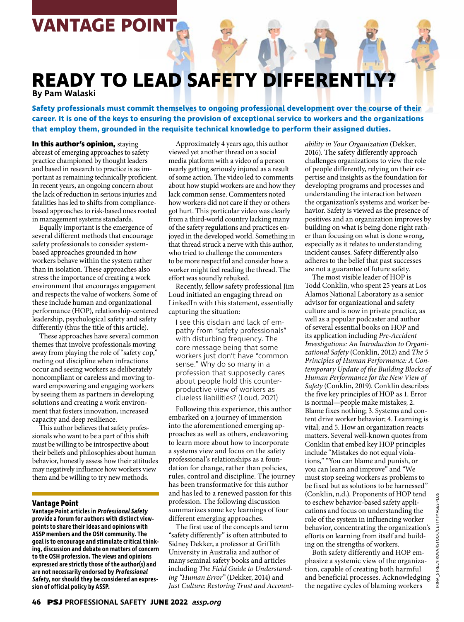# **VANTAGE POINT**

# **READY TO LEAD SAFETY DIFFERENTLY?**

**By Pam Walaski**

**Safety professionals must commit themselves to ongoing professional development over the course of their career. It is one of the keys to ensuring the provision of exceptional service to workers and the organizations that employ them, grounded in the requisite technical knowledge to perform their assigned duties.**

**In this author's opinion,** staying abreast of emerging approaches to safety practice championed by thought leaders and based in research to practice is as important as remaining technically proficient. In recent years, an ongoing concern about the lack of reduction in serious injuries and fatalities has led to shifts from compliancebased approaches to risk-based ones rooted in management systems standards.

Equally important is the emergence of several different methods that encourage safety professionals to consider systembased approaches grounded in how workers behave within the system rather than in isolation. These approaches also stress the importance of creating a work environment that encourages engagement and respects the value of workers. Some of these include human and organizational performance (HOP), relationship-centered leadership, psychological safety and safety differently (thus the title of this article).

These approaches have several common themes that involve professionals moving away from playing the role of "safety cop," meting out discipline when infractions occur and seeing workers as deliberately noncompliant or careless and moving toward empowering and engaging workers by seeing them as partners in developing solutions and creating a work environment that fosters innovation, increased capacity and deep resilience.

This author believes that safety professionals who want to be a part of this shift must be willing to be introspective about their beliefs and philosophies about human behavior, honestly assess how their attitudes may negatively influence how workers view them and be willing to try new methods.

## **Vantage Point**

**Vantage Point articles in Professional Safety provide a forum for authors with distinct viewpoints to share their ideas and opinions with ASSP members and the OSH community. The goal is to encourage and stimulate critical thinking, discussion and debate on matters of concern to the OSH profession. The views and opinions expressed are strictly those of the author(s) and are not necessarily endorsed by Professional Safety, nor should they be considered an expression of official policy by ASSP.**

Approximately 4 years ago, this author viewed yet another thread on a social media platform with a video of a person nearly getting seriously injured as a result of some action. The video led to comments about how stupid workers are and how they lack common sense. Commenters noted how workers did not care if they or others got hurt. This particular video was clearly from a third-world country lacking many of the safety regulations and practices enjoyed in the developed world. Something in that thread struck a nerve with this author, who tried to challenge the commenters to be more respectful and consider how a worker might feel reading the thread. The effort was soundly rebuked.

Recently, fellow safety professional Jim Loud initiated an engaging thread on LinkedIn with this statement, essentially capturing the situation:

I see this disdain and lack of empathy from "safety professionals" with disturbing frequency. The core message being that some workers just don't have "common sense." Why do so many in a profession that supposedly cares about people hold this counterproductive view of workers as clueless liabilities? (Loud, 2021)

Following this experience, this author embarked on a journey of immersion into the aforementioned emerging approaches as well as others, endeavoring to learn more about how to incorporate a systems view and focus on the safety professional's relationships as a foundation for change, rather than policies, rules, control and discipline. The journey has been transformative for this author and has led to a renewed passion for this profession. The following discussion summarizes some key learnings of four different emerging approaches.

The first use of the concepts and term "safety differently" is often attributed to Sidney Dekker, a professor at Griffith University in Australia and author of many seminal safety books and articles including *The Field Guide to Understanding "Human Error"* (Dekker, 2014) and *Just Culture: Restoring Trust and Account-* *ability in Your Organization* (Dekker, 2016). The safety differently approach challenges organizations to view the role of people differently, relying on their expertise and insights as the foundation for developing programs and processes and understanding the interaction between the organization's systems and worker behavior. Safety is viewed as the presence of positives and an organization improves by building on what is being done right rather than focusing on what is done wrong, especially as it relates to understanding incident causes. Safety differently also adheres to the belief that past successes are not a guarantee of future safety.

The most visible leader of HOP is Todd Conklin, who spent 25 years at Los Alamos National Laboratory as a senior advisor for organizational and safety culture and is now in private practice, as well as a popular podcaster and author of several essential books on HOP and its application including *Pre-Accident Investigations: An Introduction to Organizational Safety* (Conklin, 2012) and *The 5 Principles of Human Performance: A Contemporary Update of the Building Blocks of Human Performance for the New View of Safety* (Conklin, 2019). Conklin describes the five key principles of HOP as 1. Error is normal—people make mistakes; 2. Blame fixes nothing; 3. Systems and content drive worker behavior; 4. Learning is vital; and 5. How an organization reacts matters. Several well-known quotes from Conklin that embed key HOP principles include "Mistakes do not equal violations," "You can blame and punish, or you can learn and improve" and "We must stop seeing workers as problems to be fixed but as solutions to be harnessed" (Conklin, n.d.). Proponents of HOP tend to eschew behavior-based safety applications and focus on understanding the role of the system in influencing worker behavior, concentrating the organization's efforts on learning from itself and building on the strengths of workers.

Both safety differently and HOP emphasize a systemic view of the organization, capable of creating both harmful and beneficial processes. Acknowledging the negative cycles of blaming workers